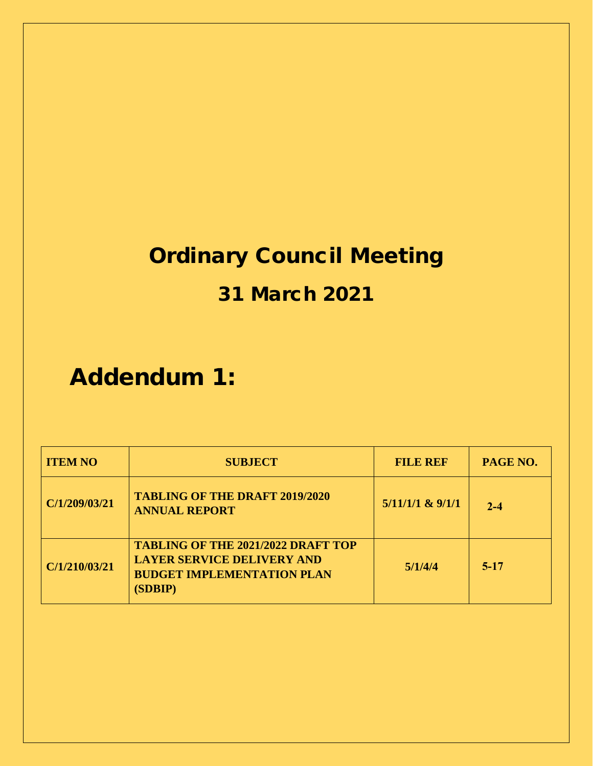# Ordinary Council Meeting

## 31 March 2021

# Addendum 1:

| <b>ITEM NO</b> | <b>SUBJECT</b>                                                                                                                 | <b>FILE REF</b>      | PAGE NO. |
|----------------|--------------------------------------------------------------------------------------------------------------------------------|----------------------|----------|
| C/1/209/03/21  | <b>TABLING OF THE DRAFT 2019/2020</b><br><b>ANNUAL REPORT</b>                                                                  | $5/11/1/1$ & $9/1/1$ | $2 - 4$  |
| C/1/210/03/21  | <b>TABLING OF THE 2021/2022 DRAFT TOP</b><br><b>LAYER SERVICE DELIVERY AND</b><br><b>BUDGET IMPLEMENTATION PLAN</b><br>(SDBIP) | 5/1/4/4              | $5-17$   |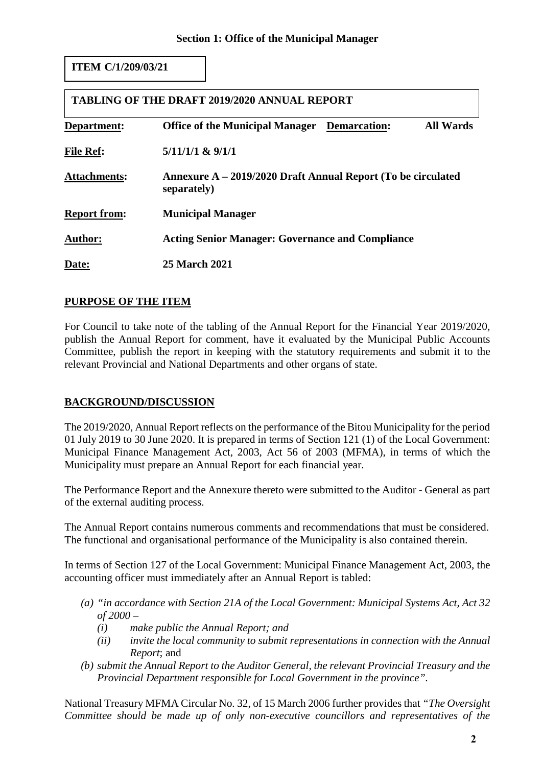#### **ITEM C/1/209/03/21**

| <b>TABLING OF THE DRAFT 2019/2020 ANNUAL REPORT</b> |                                                                             |                  |  |  |  |  |  |  |  |  |  |  |
|-----------------------------------------------------|-----------------------------------------------------------------------------|------------------|--|--|--|--|--|--|--|--|--|--|
| Department:                                         | <b>Office of the Municipal Manager</b> Demarcation:                         | <b>All Wards</b> |  |  |  |  |  |  |  |  |  |  |
| <b>File Ref:</b>                                    | $5/11/1/1$ & $9/1/1$                                                        |                  |  |  |  |  |  |  |  |  |  |  |
| <b>Attachments:</b>                                 | Annexure A – 2019/2020 Draft Annual Report (To be circulated<br>separately) |                  |  |  |  |  |  |  |  |  |  |  |
| <b>Report from:</b>                                 | <b>Municipal Manager</b>                                                    |                  |  |  |  |  |  |  |  |  |  |  |
| <b>Author:</b>                                      | <b>Acting Senior Manager: Governance and Compliance</b>                     |                  |  |  |  |  |  |  |  |  |  |  |
| Date:                                               | <b>25 March 2021</b>                                                        |                  |  |  |  |  |  |  |  |  |  |  |

#### **PURPOSE OF THE ITEM**

For Council to take note of the tabling of the Annual Report for the Financial Year 2019/2020, publish the Annual Report for comment, have it evaluated by the Municipal Public Accounts Committee, publish the report in keeping with the statutory requirements and submit it to the relevant Provincial and National Departments and other organs of state.

#### **BACKGROUND/DISCUSSION**

The 2019/2020, Annual Report reflects on the performance of the Bitou Municipality for the period 01 July 2019 to 30 June 2020. It is prepared in terms of Section 121 (1) of the Local Government: Municipal Finance Management Act, 2003, Act 56 of 2003 (MFMA), in terms of which the Municipality must prepare an Annual Report for each financial year.

The Performance Report and the Annexure thereto were submitted to the Auditor - General as part of the external auditing process.

The Annual Report contains numerous comments and recommendations that must be considered. The functional and organisational performance of the Municipality is also contained therein.

In terms of Section 127 of the Local Government: Municipal Finance Management Act, 2003, the accounting officer must immediately after an Annual Report is tabled:

- *(a) "in accordance with Section 21A of the Local Government: Municipal Systems Act, Act 32 of 2000 –*
	- *(i) make public the Annual Report; and*
	- *(ii) invite the local community to submit representations in connection with the Annual Report*; and
- *(b) submit the Annual Report to the Auditor General, the relevant Provincial Treasury and the Provincial Department responsible for Local Government in the province".*

National Treasury MFMA Circular No. 32, of 15 March 2006 further provides that *"The Oversight Committee should be made up of only non-executive councillors and representatives of the*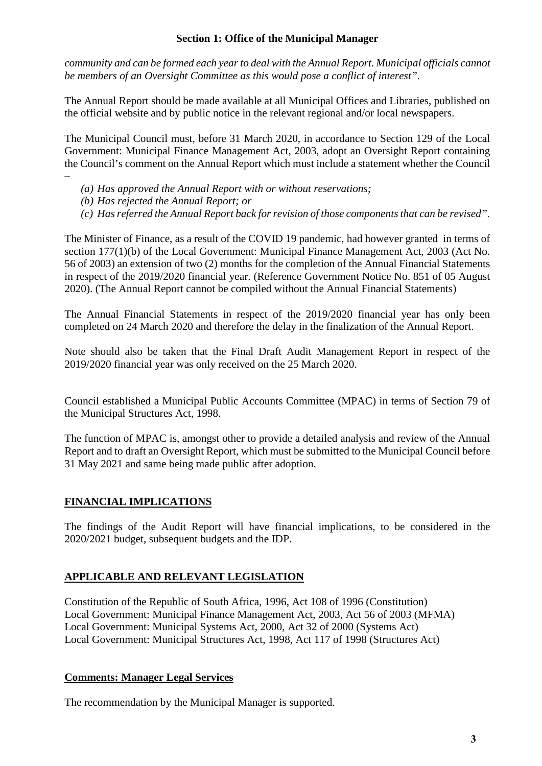#### **Section 1: Office of the Municipal Manager**

*community and can be formed each year to deal with the Annual Report. Municipal officials cannot be members of an Oversight Committee as this would pose a conflict of interest".* 

The Annual Report should be made available at all Municipal Offices and Libraries, published on the official website and by public notice in the relevant regional and/or local newspapers.

The Municipal Council must, before 31 March 2020, in accordance to Section 129 of the Local Government: Municipal Finance Management Act, 2003, adopt an Oversight Report containing the Council's comment on the Annual Report which must include a statement whether the Council

- –
- *(a) Has approved the Annual Report with or without reservations;*
- *(b) Has rejected the Annual Report; or*
- *(c) Has referred the Annual Report back for revision of those components that can be revised".*

The Minister of Finance, as a result of the COVID 19 pandemic, had however granted in terms of section 177(1)(b) of the Local Government: Municipal Finance Management Act, 2003 (Act No. 56 of 2003) an extension of two (2) months for the completion of the Annual Financial Statements in respect of the 2019/2020 financial year. (Reference Government Notice No. 851 of 05 August 2020). (The Annual Report cannot be compiled without the Annual Financial Statements)

The Annual Financial Statements in respect of the 2019/2020 financial year has only been completed on 24 March 2020 and therefore the delay in the finalization of the Annual Report.

Note should also be taken that the Final Draft Audit Management Report in respect of the 2019/2020 financial year was only received on the 25 March 2020.

Council established a Municipal Public Accounts Committee (MPAC) in terms of Section 79 of the Municipal Structures Act, 1998.

The function of MPAC is, amongst other to provide a detailed analysis and review of the Annual Report and to draft an Oversight Report, which must be submitted to the Municipal Council before 31 May 2021 and same being made public after adoption.

#### **FINANCIAL IMPLICATIONS**

The findings of the Audit Report will have financial implications, to be considered in the 2020/2021 budget, subsequent budgets and the IDP.

#### **APPLICABLE AND RELEVANT LEGISLATION**

Constitution of the Republic of South Africa, 1996, Act 108 of 1996 (Constitution) Local Government: Municipal Finance Management Act, 2003, Act 56 of 2003 (MFMA) Local Government: Municipal Systems Act, 2000, Act 32 of 2000 (Systems Act) Local Government: Municipal Structures Act, 1998, Act 117 of 1998 (Structures Act)

#### **Comments: Manager Legal Services**

The recommendation by the Municipal Manager is supported.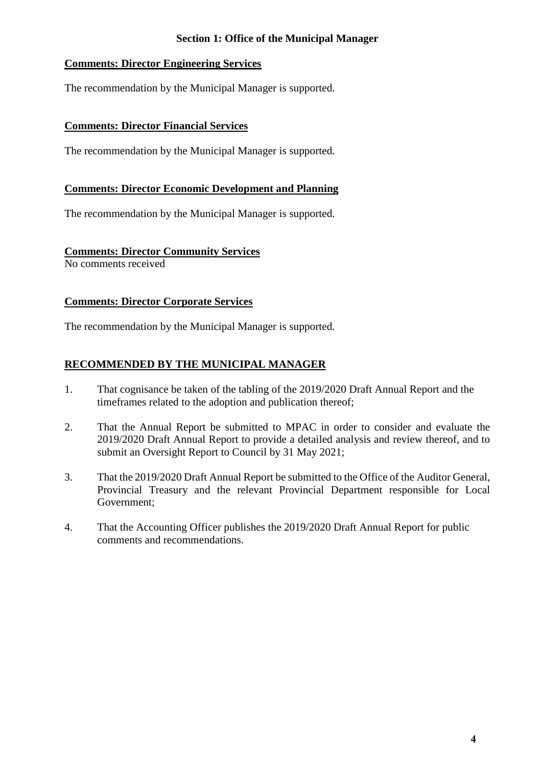#### **Section 1: Office of the Municipal Manager**

#### **Comments: Director Engineering Services**

The recommendation by the Municipal Manager is supported.

#### **Comments: Director Financial Services**

The recommendation by the Municipal Manager is supported.

#### **Comments: Director Economic Development and Planning**

The recommendation by the Municipal Manager is supported.

#### **Comments: Director Community Services**

No comments received

#### **Comments: Director Corporate Services**

The recommendation by the Municipal Manager is supported.

#### **RECOMMENDED BY THE MUNICIPAL MANAGER**

- 1. That cognisance be taken of the tabling of the 2019/2020 Draft Annual Report and the timeframes related to the adoption and publication thereof;
- 2. That the Annual Report be submitted to MPAC in order to consider and evaluate the 2019/2020 Draft Annual Report to provide a detailed analysis and review thereof, and to submit an Oversight Report to Council by 31 May 2021;
- 3. That the 2019/2020 Draft Annual Report be submitted to the Office of the Auditor General, Provincial Treasury and the relevant Provincial Department responsible for Local Government;
- 4. That the Accounting Officer publishes the 2019/2020 Draft Annual Report for public comments and recommendations.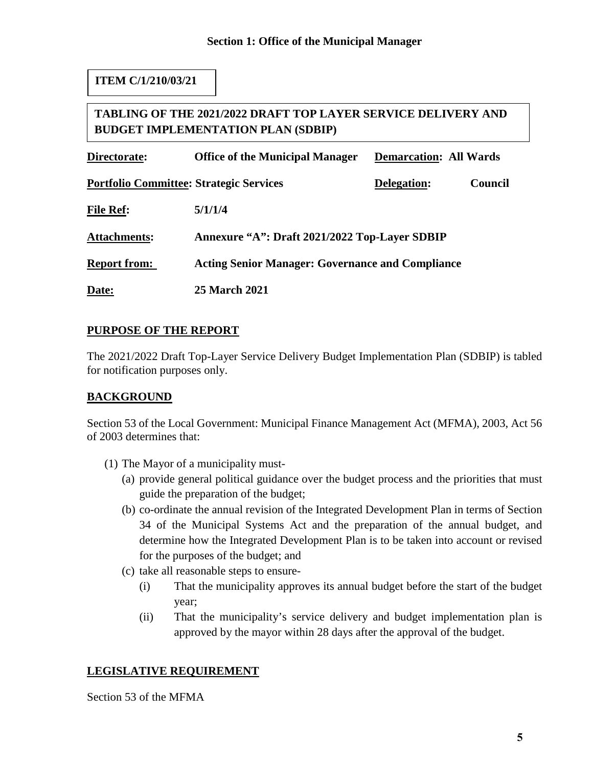#### **ITEM C/1/210/03/21**

#### **TABLING OF THE 2021/2022 DRAFT TOP LAYER SERVICE DELIVERY AND BUDGET IMPLEMENTATION PLAN (SDBIP)**

| Directorate:                                   | <b>Office of the Municipal Manager</b>                  | <b>Demarcation: All Wards</b> |                |
|------------------------------------------------|---------------------------------------------------------|-------------------------------|----------------|
| <b>Portfolio Committee: Strategic Services</b> |                                                         | Delegation:                   | <b>Council</b> |
| <b>File Ref:</b>                               | 5/1/1/4                                                 |                               |                |
| <b>Attachments:</b>                            | Annexure "A": Draft 2021/2022 Top-Layer SDBIP           |                               |                |
| <b>Report from:</b>                            | <b>Acting Senior Manager: Governance and Compliance</b> |                               |                |
| Date:                                          | <b>25 March 2021</b>                                    |                               |                |

#### **PURPOSE OF THE REPORT**

The 2021/2022 Draft Top-Layer Service Delivery Budget Implementation Plan (SDBIP) is tabled for notification purposes only.

#### **BACKGROUND**

Section 53 of the Local Government: Municipal Finance Management Act (MFMA), 2003, Act 56 of 2003 determines that:

- (1) The Mayor of a municipality must-
	- (a) provide general political guidance over the budget process and the priorities that must guide the preparation of the budget;
	- (b) co-ordinate the annual revision of the Integrated Development Plan in terms of Section 34 of the Municipal Systems Act and the preparation of the annual budget, and determine how the Integrated Development Plan is to be taken into account or revised for the purposes of the budget; and
	- (c) take all reasonable steps to ensure-
		- (i) That the municipality approves its annual budget before the start of the budget year;
		- (ii) That the municipality's service delivery and budget implementation plan is approved by the mayor within 28 days after the approval of the budget.

#### **LEGISLATIVE REQUIREMENT**

Section 53 of the MFMA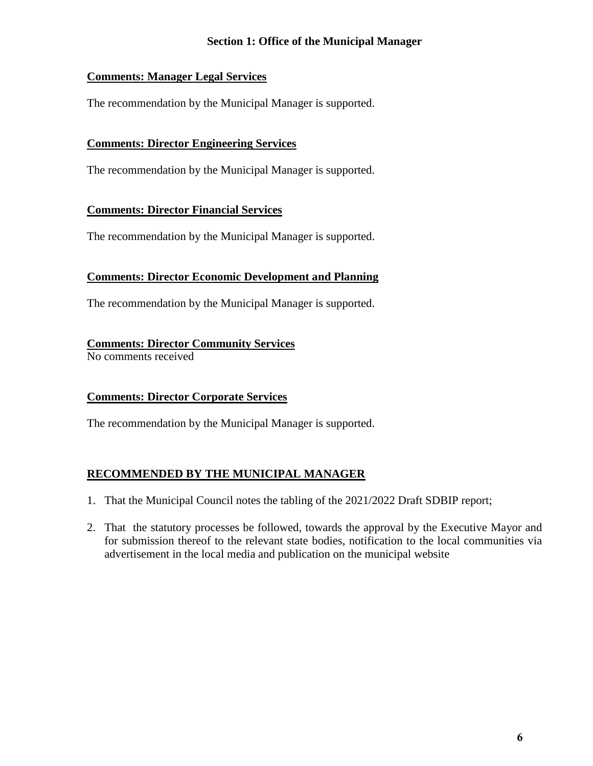#### **Section 1: Office of the Municipal Manager**

#### **Comments: Manager Legal Services**

The recommendation by the Municipal Manager is supported.

#### **Comments: Director Engineering Services**

The recommendation by the Municipal Manager is supported.

#### **Comments: Director Financial Services**

The recommendation by the Municipal Manager is supported.

#### **Comments: Director Economic Development and Planning**

The recommendation by the Municipal Manager is supported.

#### **Comments: Director Community Services**

No comments received

#### **Comments: Director Corporate Services**

The recommendation by the Municipal Manager is supported.

#### **RECOMMENDED BY THE MUNICIPAL MANAGER**

- 1. That the Municipal Council notes the tabling of the 2021/2022 Draft SDBIP report;
- 2. That the statutory processes be followed, towards the approval by the Executive Mayor and for submission thereof to the relevant state bodies, notification to the local communities via advertisement in the local media and publication on the municipal website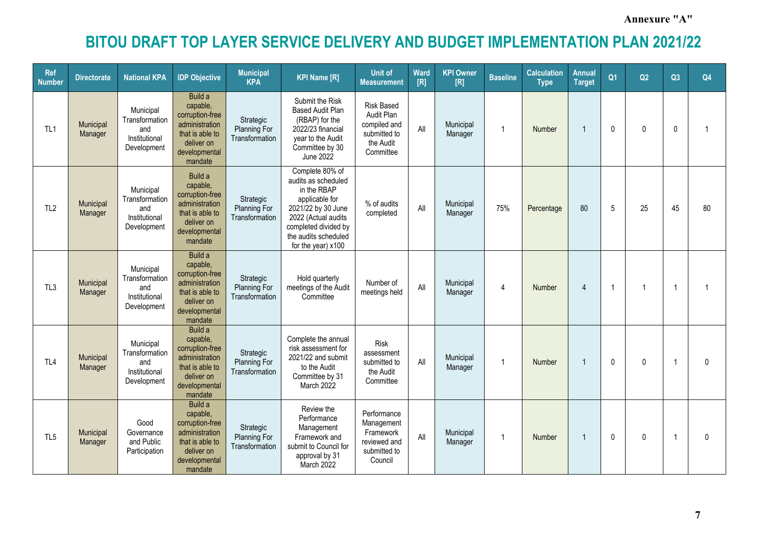**Annexure "A"**

| <b>Ref</b><br><b>Number</b> | <b>Directorate</b>   | <b>National KPA</b>                                                | <b>IDP Objective</b>                                                                                                  | <b>Municipal</b><br><b>KPA</b>                     | <b>KPI Name [R]</b>                                                                                                                                                                        | <b>Unit of</b><br><b>Measurement</b>                                                      | Ward<br>[R] | <b>KPI Owner</b><br>[R] | <b>Baseline</b> | <b>Calculation</b><br><b>Type</b> | <b>Annual</b><br><b>Target</b> | Q <sub>1</sub> | Q2           | Q3             | Q4           |
|-----------------------------|----------------------|--------------------------------------------------------------------|-----------------------------------------------------------------------------------------------------------------------|----------------------------------------------------|--------------------------------------------------------------------------------------------------------------------------------------------------------------------------------------------|-------------------------------------------------------------------------------------------|-------------|-------------------------|-----------------|-----------------------------------|--------------------------------|----------------|--------------|----------------|--------------|
| TL <sub>1</sub>             | Municipal<br>Manager | Municipal<br>Transformation<br>and<br>Institutional<br>Development | Build a<br>capable,<br>corruption-free<br>administration<br>that is able to<br>deliver on<br>developmental<br>mandate | Strategic<br>Planning For<br>Transformation        | Submit the Risk<br><b>Based Audit Plan</b><br>(RBAP) for the<br>2022/23 financial<br>year to the Audit<br>Committee by 30<br>June 2022                                                     | <b>Risk Based</b><br>Audit Plan<br>compiled and<br>submitted to<br>the Audit<br>Committee | All         | Municipal<br>Manager    | $\mathbf{1}$    | Number                            | $\overline{1}$                 | 0              | $\mathbf{0}$ | 0              | 1            |
| TL <sub>2</sub>             | Municipal<br>Manager | Municipal<br>Transformation<br>and<br>Institutional<br>Development | Build a<br>capable,<br>corruption-free<br>administration<br>that is able to<br>deliver on<br>developmental<br>mandate | Strategic<br>Planning For<br>Transformation        | Complete 80% of<br>audits as scheduled<br>in the RBAP<br>applicable for<br>2021/22 by 30 June<br>2022 (Actual audits<br>completed divided by<br>the audits scheduled<br>for the year) x100 | % of audits<br>completed                                                                  | All         | Municipal<br>Manager    | 75%             | Percentage                        | 80                             | 5              | 25           | 45             | 80           |
| TL3                         | Municipal<br>Manager | Municipal<br>Transformation<br>and<br>Institutional<br>Development | Build a<br>capable,<br>corruption-free<br>administration<br>that is able to<br>deliver on<br>developmental<br>mandate | Strategic<br><b>Planning For</b><br>Transformation | Hold quarterly<br>meetings of the Audit<br>Committee                                                                                                                                       | Number of<br>meetings held                                                                | All         | Municipal<br>Manager    | 4               | Number                            | $\overline{4}$                 |                |              |                | 1            |
| TL <sub>4</sub>             | Municipal<br>Manager | Municipal<br>Transformation<br>and<br>Institutional<br>Development | Build a<br>capable,<br>corruption-free<br>administration<br>that is able to<br>deliver on<br>developmental<br>mandate | Strategic<br>Planning For<br>Transformation        | Complete the annual<br>risk assessment for<br>2021/22 and submit<br>to the Audit<br>Committee by 31<br>March 2022                                                                          | <b>Risk</b><br>assessment<br>submitted to<br>the Audit<br>Committee                       | All         | Municipal<br>Manager    | $\overline{1}$  | Number                            | $\overline{1}$                 | 0              | $\Omega$     | $\overline{1}$ | $\mathbf{0}$ |
| TL <sub>5</sub>             | Municipal<br>Manager | Good<br>Governance<br>and Public<br>Participation                  | Build a<br>capable,<br>corruption-free<br>administration<br>that is able to<br>deliver on<br>developmental<br>mandate | Strategic<br><b>Planning For</b><br>Transformation | Review the<br>Performance<br>Management<br>Framework and<br>submit to Council for<br>approval by 31<br>March 2022                                                                          | Performance<br>Management<br>Framework<br>reviewed and<br>submitted to<br>Council         | All         | Municipal<br>Manager    | $\mathbf{1}$    | Number                            | $\overline{1}$                 | 0              | $\mathbf{0}$ |                | $\mathbf 0$  |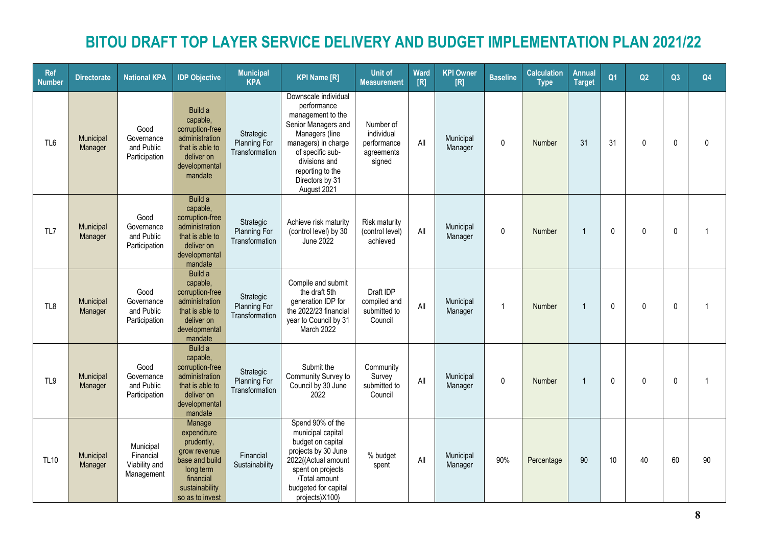| <b>Ref</b><br><b>Number</b> | <b>Directorate</b>   | <b>National KPA</b>                                   | <b>IDP Objective</b>                                                                                                                 | <b>Municipal</b><br><b>KPA</b>                     | <b>KPI Name [R]</b>                                                                                                                                                                                                 | <b>Unit of</b><br><b>Measurement</b>                           | Ward<br>[R] | <b>KPI Owner</b><br>[R] | <b>Baseline</b> | <b>Calculation</b><br><b>Type</b> | <b>Annual</b><br><b>Target</b> | Q <sub>1</sub> | Q2           | Q3           | Q <sub>4</sub> |
|-----------------------------|----------------------|-------------------------------------------------------|--------------------------------------------------------------------------------------------------------------------------------------|----------------------------------------------------|---------------------------------------------------------------------------------------------------------------------------------------------------------------------------------------------------------------------|----------------------------------------------------------------|-------------|-------------------------|-----------------|-----------------------------------|--------------------------------|----------------|--------------|--------------|----------------|
| TL <sub>6</sub>             | Municipal<br>Manager | Good<br>Governance<br>and Public<br>Participation     | Build a<br>capable,<br>corruption-free<br>administration<br>that is able to<br>deliver on<br>developmental<br>mandate                | Strategic<br>Planning For<br>Transformation        | Downscale individual<br>performance<br>management to the<br>Senior Managers and<br>Managers (line<br>managers) in charge<br>of specific sub-<br>divisions and<br>reporting to the<br>Directors by 31<br>August 2021 | Number of<br>individual<br>performance<br>agreements<br>signed | All         | Municipal<br>Manager    | $\mathbf 0$     | Number                            | 31                             | 31             | $\mathbf{0}$ | $\mathbf{0}$ | $\Omega$       |
| TL7                         | Municipal<br>Manager | Good<br>Governance<br>and Public<br>Participation     | Build a<br>capable,<br>corruption-free<br>administration<br>that is able to<br>deliver on<br>developmental<br>mandate                | Strategic<br>Planning For<br>Transformation        | Achieve risk maturity<br>(control level) by 30<br>June 2022                                                                                                                                                         | <b>Risk maturity</b><br>(control level)<br>achieved            | All         | Municipal<br>Manager    | $\mathbf 0$     | Number                            | $\overline{1}$                 | $\mathbf 0$    | 0            | $\mathbf 0$  | -1             |
| TL8                         | Municipal<br>Manager | Good<br>Governance<br>and Public<br>Participation     | Build a<br>capable,<br>corruption-free<br>administration<br>that is able to<br>deliver on<br>developmental<br>mandate                | Strategic<br><b>Planning For</b><br>Transformation | Compile and submit<br>the draft 5th<br>generation IDP for<br>the 2022/23 financial<br>year to Council by 31<br>March 2022                                                                                           | Draft IDP<br>compiled and<br>submitted to<br>Council           | All         | Municipal<br>Manager    | $\overline{1}$  | Number                            | $\overline{1}$                 | $\pmb{0}$      | $\mathbf{0}$ | $\mathbf 0$  |                |
| TL9                         | Municipal<br>Manager | Good<br>Governance<br>and Public<br>Participation     | Build a<br>capable,<br>corruption-free<br>administration<br>that is able to<br>deliver on<br>developmental<br>mandate                | Strategic<br><b>Planning For</b><br>Transformation | Submit the<br>Community Survey to<br>Council by 30 June<br>2022                                                                                                                                                     | Community<br>Survey<br>submitted to<br>Council                 | All         | Municipal<br>Manager    | $\pmb{0}$       | Number                            | $\overline{1}$                 | $\mathbf{0}$   | $\mathbf 0$  | $\mathbf 0$  | $\overline{1}$ |
| <b>TL10</b>                 | Municipal<br>Manager | Municipal<br>Financial<br>Viability and<br>Management | Manage<br>expenditure<br>prudently,<br>grow revenue<br>base and build<br>long term<br>financial<br>sustainability<br>so as to invest | Financial<br>Sustainability                        | Spend 90% of the<br>municipal capital<br>budget on capital<br>projects by 30 June<br>2022{(Actual amount<br>spent on projects<br>/Total amount<br>budgeted for capital<br>projects)X100}                            | % budget<br>spent                                              | All         | Municipal<br>Manager    | 90%             | Percentage                        | 90                             | 10             | 40           | 60           | 90             |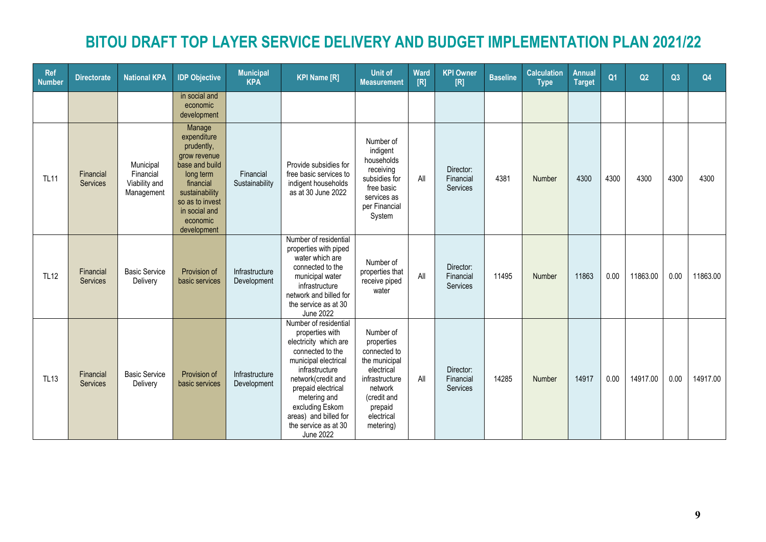| <b>Ref</b><br><b>Number</b> | <b>Directorate</b>           | <b>National KPA</b>                                   | <b>IDP Objective</b>                                                                                                                                                             | <b>Municipal</b><br><b>KPA</b> | <b>KPI Name [R]</b>                                                                                                                                                                                                                                                                 | <b>Unit of</b><br><b>Measurement</b>                                                                                                                     | Ward<br>[R] | <b>KPI Owner</b><br>[R]            | <b>Baseline</b> | <b>Calculation</b><br><b>Type</b> | <b>Annual</b><br><b>Target</b> | Q <sub>1</sub> | Q2       | Q3   | Q4       |
|-----------------------------|------------------------------|-------------------------------------------------------|----------------------------------------------------------------------------------------------------------------------------------------------------------------------------------|--------------------------------|-------------------------------------------------------------------------------------------------------------------------------------------------------------------------------------------------------------------------------------------------------------------------------------|----------------------------------------------------------------------------------------------------------------------------------------------------------|-------------|------------------------------------|-----------------|-----------------------------------|--------------------------------|----------------|----------|------|----------|
|                             |                              |                                                       | in social and<br>economic<br>development                                                                                                                                         |                                |                                                                                                                                                                                                                                                                                     |                                                                                                                                                          |             |                                    |                 |                                   |                                |                |          |      |          |
| <b>TL11</b>                 | Financial<br>Services        | Municipal<br>Financial<br>Viability and<br>Management | Manage<br>expenditure<br>prudently,<br>grow revenue<br>base and build<br>long term<br>financial<br>sustainability<br>so as to invest<br>in social and<br>economic<br>development | Financial<br>Sustainability    | Provide subsidies for<br>free basic services to<br>indigent households<br>as at 30 June 2022                                                                                                                                                                                        | Number of<br>indigent<br>households<br>receiving<br>subsidies for<br>free basic<br>services as<br>per Financial<br>System                                | All         | Director:<br>Financial<br>Services | 4381            | Number                            | 4300                           | 4300           | 4300     | 4300 | 4300     |
| <b>TL12</b>                 | Financial<br><b>Services</b> | <b>Basic Service</b><br>Delivery                      | Provision of<br>basic services                                                                                                                                                   | Infrastructure<br>Development  | Number of residential<br>properties with piped<br>water which are<br>connected to the<br>municipal water<br>infrastructure<br>network and billed for<br>the service as at 30<br>June 2022                                                                                           | Number of<br>properties that<br>receive piped<br>water                                                                                                   | All         | Director:<br>Financial<br>Services | 11495           | Number                            | 11863                          | 0.00           | 11863.00 | 0.00 | 11863.00 |
| <b>TL13</b>                 | Financial<br><b>Services</b> | <b>Basic Service</b><br>Delivery                      | Provision of<br>basic services                                                                                                                                                   | Infrastructure<br>Development  | Number of residential<br>properties with<br>electricity which are<br>connected to the<br>municipal electrical<br>infrastructure<br>network(credit and<br>prepaid electrical<br>metering and<br>excluding Eskom<br>areas) and billed for<br>the service as at 30<br><b>June 2022</b> | Number of<br>properties<br>connected to<br>the municipal<br>electrical<br>infrastructure<br>network<br>(credit and<br>prepaid<br>electrical<br>metering) | All         | Director:<br>Financial<br>Services | 14285           | Number                            | 14917                          | 0.00           | 14917.00 | 0.00 | 14917.00 |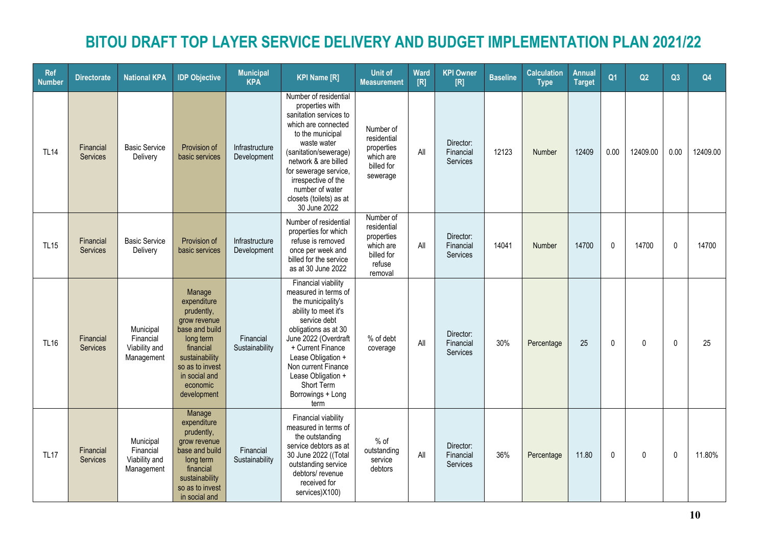| <b>Ref</b><br><b>Number</b> | <b>Directorate</b>           | <b>National KPA</b>                                   | <b>IDP Objective</b>                                                                                                                                                             | <b>Municipal</b><br><b>KPA</b> | <b>KPI Name [R]</b>                                                                                                                                                                                                                                                                          | <b>Unit of</b><br><b>Measurement</b>                                                   | Ward<br>[R] | <b>KPI Owner</b><br>[R]                   | <b>Baseline</b> | <b>Calculation</b><br><b>Type</b> | Annual<br><b>Target</b> | Q <sub>1</sub> | Q2           | Q3           | Q <sub>4</sub> |
|-----------------------------|------------------------------|-------------------------------------------------------|----------------------------------------------------------------------------------------------------------------------------------------------------------------------------------|--------------------------------|----------------------------------------------------------------------------------------------------------------------------------------------------------------------------------------------------------------------------------------------------------------------------------------------|----------------------------------------------------------------------------------------|-------------|-------------------------------------------|-----------------|-----------------------------------|-------------------------|----------------|--------------|--------------|----------------|
| <b>TL14</b>                 | Financial<br><b>Services</b> | <b>Basic Service</b><br>Delivery                      | Provision of<br>basic services                                                                                                                                                   | Infrastructure<br>Development  | Number of residential<br>properties with<br>sanitation services to<br>which are connected<br>to the municipal<br>waste water<br>(sanitation/sewerage)<br>network & are billed<br>for sewerage service,<br>irrespective of the<br>number of water<br>closets (toilets) as at<br>30 June 2022  | Number of<br>residential<br>properties<br>which are<br>billed for<br>sewerage          | All         | Director:<br>Financial<br><b>Services</b> | 12123           | Number                            | 12409                   | 0.00           | 12409.00     | 0.00         | 12409.00       |
| <b>TL15</b>                 | Financial<br><b>Services</b> | <b>Basic Service</b><br>Delivery                      | Provision of<br>basic services                                                                                                                                                   | Infrastructure<br>Development  | Number of residential<br>properties for which<br>refuse is removed<br>once per week and<br>billed for the service<br>as at 30 June 2022                                                                                                                                                      | Number of<br>residential<br>properties<br>which are<br>billed for<br>refuse<br>removal | All         | Director:<br>Financial<br>Services        | 14041           | Number                            | 14700                   | $\mathbf 0$    | 14700        | $\pmb{0}$    | 14700          |
| <b>TL16</b>                 | Financial<br><b>Services</b> | Municipal<br>Financial<br>Viability and<br>Management | Manage<br>expenditure<br>prudently,<br>grow revenue<br>base and build<br>long term<br>financial<br>sustainability<br>so as to invest<br>in social and<br>economic<br>development | Financial<br>Sustainability    | Financial viability<br>measured in terms of<br>the municipality's<br>ability to meet it's<br>service debt<br>obligations as at 30<br>June 2022 (Overdraft<br>+ Current Finance<br>Lease Obligation +<br>Non current Finance<br>Lease Obligation +<br>Short Term<br>Borrowings + Long<br>term | % of debt<br>coverage                                                                  | All         | Director:<br>Financial<br><b>Services</b> | 30%             | Percentage                        | 25                      | $\Omega$       | $\mathbf{0}$ | $\Omega$     | 25             |
| <b>TL17</b>                 | Financial<br><b>Services</b> | Municipal<br>Financial<br>Viability and<br>Management | Manage<br>expenditure<br>prudently,<br>grow revenue<br>base and build<br>long term<br>financial<br>sustainability<br>so as to invest<br>in social and                            | Financial<br>Sustainability    | Financial viability<br>measured in terms of<br>the outstanding<br>service debtors as at<br>30 June 2022 ((Total<br>outstanding service<br>debtors/ revenue<br>received for<br>services)X100)                                                                                                 | $%$ of<br>outstanding<br>service<br>debtors                                            | All         | Director:<br>Financial<br>Services        | 36%             | Percentage                        | 11.80                   | $\mathbf{0}$   | $\mathbf{0}$ | $\mathbf{0}$ | 11.80%         |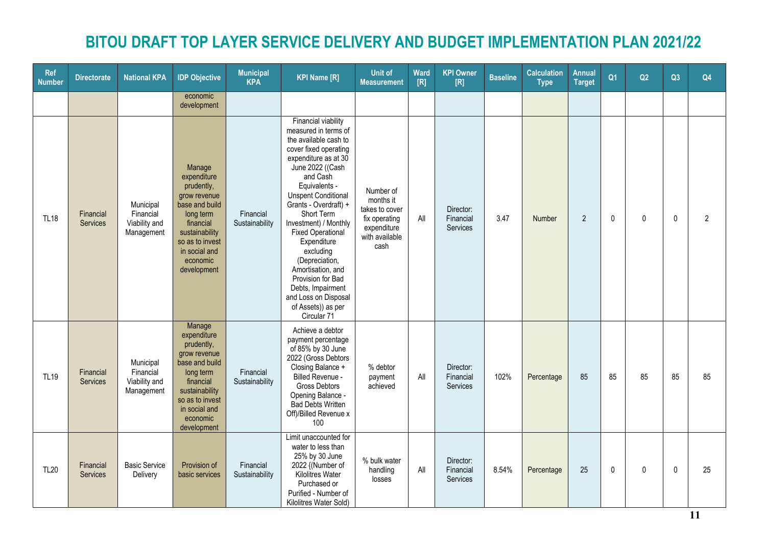| <b>Ref</b><br><b>Number</b> | <b>Directorate</b>           | <b>National KPA</b>                                   | <b>IDP Objective</b>                                                                                                                                                             | <b>Municipal</b><br><b>KPA</b> | <b>KPI Name [R]</b>                                                                                                                                                                                                                                                                                                                                                                                                                                                        | <b>Unit of</b><br><b>Measurement</b>                                                               | Ward<br>[R] | <b>KPI Owner</b><br>[R]            | <b>Baseline</b> | <b>Calculation</b><br><b>Type</b> | <b>Annual</b><br><b>Target</b> | Q <sub>1</sub> | Q2       | Q3 | Q <sub>4</sub> |
|-----------------------------|------------------------------|-------------------------------------------------------|----------------------------------------------------------------------------------------------------------------------------------------------------------------------------------|--------------------------------|----------------------------------------------------------------------------------------------------------------------------------------------------------------------------------------------------------------------------------------------------------------------------------------------------------------------------------------------------------------------------------------------------------------------------------------------------------------------------|----------------------------------------------------------------------------------------------------|-------------|------------------------------------|-----------------|-----------------------------------|--------------------------------|----------------|----------|----|----------------|
|                             |                              |                                                       | economic<br>development                                                                                                                                                          |                                |                                                                                                                                                                                                                                                                                                                                                                                                                                                                            |                                                                                                    |             |                                    |                 |                                   |                                |                |          |    |                |
| <b>TL18</b>                 | Financial<br>Services        | Municipal<br>Financial<br>Viability and<br>Management | Manage<br>expenditure<br>prudently,<br>grow revenue<br>base and build<br>long term<br>financial<br>sustainability<br>so as to invest<br>in social and<br>economic<br>development | Financial<br>Sustainability    | Financial viability<br>measured in terms of<br>the available cash to<br>cover fixed operating<br>expenditure as at 30<br>June 2022 ((Cash<br>and Cash<br>Equivalents -<br><b>Unspent Conditional</b><br>Grants - Overdraft) +<br>Short Term<br>Investment) / Monthly<br><b>Fixed Operational</b><br>Expenditure<br>excluding<br>(Depreciation,<br>Amortisation, and<br>Provision for Bad<br>Debts, Impairment<br>and Loss on Disposal<br>of Assets)) as per<br>Circular 71 | Number of<br>months it<br>takes to cover<br>fix operating<br>expenditure<br>with available<br>cash | All         | Director:<br>Financial<br>Services | 3.47            | Number                            | $\overline{2}$                 | $\mathbf 0$    | $\Omega$ | 0  | $\overline{2}$ |
| <b>TL19</b>                 | Financial<br><b>Services</b> | Municipal<br>Financial<br>Viability and<br>Management | Manage<br>expenditure<br>prudently,<br>grow revenue<br>base and build<br>long term<br>financial<br>sustainability<br>so as to invest<br>in social and<br>economic<br>development | Financial<br>Sustainability    | Achieve a debtor<br>payment percentage<br>of 85% by 30 June<br>2022 (Gross Debtors<br>Closing Balance +<br>Billed Revenue -<br><b>Gross Debtors</b><br>Opening Balance -<br><b>Bad Debts Written</b><br>Off)/Billed Revenue x<br>100                                                                                                                                                                                                                                       | % debtor<br>payment<br>achieved                                                                    | All         | Director:<br>Financial<br>Services | 102%            | Percentage                        | 85                             | 85             | 85       | 85 | 85             |
| <b>TL20</b>                 | Financial<br><b>Services</b> | <b>Basic Service</b><br>Delivery                      | Provision of<br>basic services                                                                                                                                                   | Financial<br>Sustainability    | Limit unaccounted for<br>water to less than<br>25% by 30 June<br>2022 {(Number of<br>Kilolitres Water<br>Purchased or<br>Purified - Number of<br>Kilolitres Water Sold)                                                                                                                                                                                                                                                                                                    | % bulk water<br>handling<br>losses                                                                 | All         | Director:<br>Financial<br>Services | 8.54%           | Percentage                        | 25                             | $\mathbf 0$    | 0        | 0  | 25             |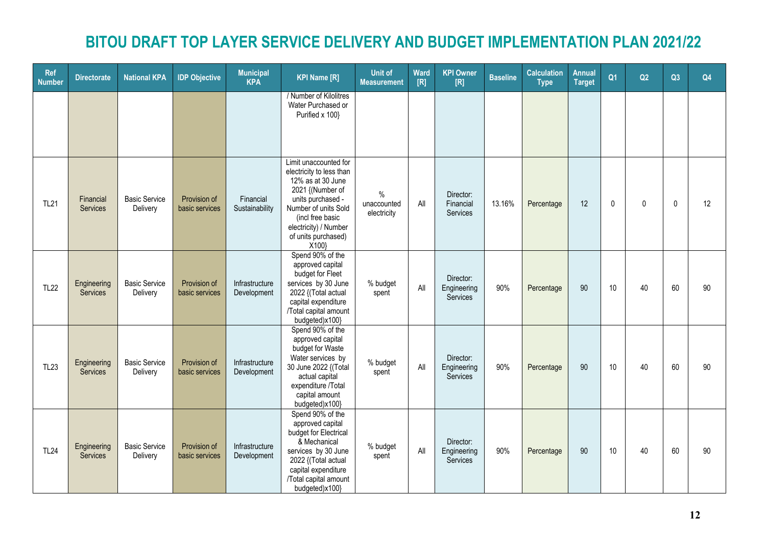| <b>Ref</b><br><b>Number</b> | <b>Directorate</b>             | <b>National KPA</b>              | <b>IDP Objective</b>           | <b>Municipal</b><br><b>KPA</b> | <b>KPI Name [R]</b>                                                                                                                                                                                                  | <b>Unit of</b><br><b>Measurement</b>        | Ward<br>[R] | <b>KPI Owner</b><br>[R]              | <b>Baseline</b> | <b>Calculation</b><br><b>Type</b> | <b>Annual</b><br><b>Target</b> | Q <sub>1</sub> | Q2           | Q3          | Q4 |
|-----------------------------|--------------------------------|----------------------------------|--------------------------------|--------------------------------|----------------------------------------------------------------------------------------------------------------------------------------------------------------------------------------------------------------------|---------------------------------------------|-------------|--------------------------------------|-----------------|-----------------------------------|--------------------------------|----------------|--------------|-------------|----|
|                             |                                |                                  |                                |                                | / Number of Kilolitres<br>Water Purchased or<br>Purified x 100}                                                                                                                                                      |                                             |             |                                      |                 |                                   |                                |                |              |             |    |
| <b>TL21</b>                 | Financial<br>Services          | <b>Basic Service</b><br>Delivery | Provision of<br>basic services | Financial<br>Sustainability    | Limit unaccounted for<br>electricity to less than<br>12% as at 30 June<br>2021 {(Number of<br>units purchased -<br>Number of units Sold<br>(incl free basic<br>electricity) / Number<br>of units purchased)<br>X100} | $\frac{0}{0}$<br>unaccounted<br>electricity | All         | Director:<br>Financial<br>Services   | 13.16%          | Percentage                        | 12                             | $\mathbf 0$    | $\mathbf{0}$ | $\mathbf 0$ | 12 |
| <b>TL22</b>                 | Engineering<br>Services        | <b>Basic Service</b><br>Delivery | Provision of<br>basic services | Infrastructure<br>Development  | Spend 90% of the<br>approved capital<br>budget for Fleet<br>services by 30 June<br>2022 {(Total actual<br>capital expenditure<br>/Total capital amount<br>budgeted)x100}                                             | % budget<br>spent                           | All         | Director:<br>Engineering<br>Services | 90%             | Percentage                        | 90                             | 10             | 40           | 60          | 90 |
| <b>TL23</b>                 | Engineering<br><b>Services</b> | <b>Basic Service</b><br>Delivery | Provision of<br>basic services | Infrastructure<br>Development  | Spend 90% of the<br>approved capital<br>budget for Waste<br>Water services by<br>30 June 2022 {(Total<br>actual capital<br>expenditure /Total<br>capital amount<br>budgeted)x100}                                    | % budget<br>spent                           | All         | Director:<br>Engineering<br>Services | 90%             | Percentage                        | 90                             | 10             | 40           | 60          | 90 |
| <b>TL24</b>                 | Engineering<br>Services        | <b>Basic Service</b><br>Delivery | Provision of<br>basic services | Infrastructure<br>Development  | Spend 90% of the<br>approved capital<br>budget for Electrical<br>& Mechanical<br>services by 30 June<br>2022 {(Total actual<br>capital expenditure<br>/Total capital amount<br>budgeted)x100}                        | % budget<br>spent                           | All         | Director:<br>Engineering<br>Services | 90%             | Percentage                        | 90                             | 10             | 40           | 60          | 90 |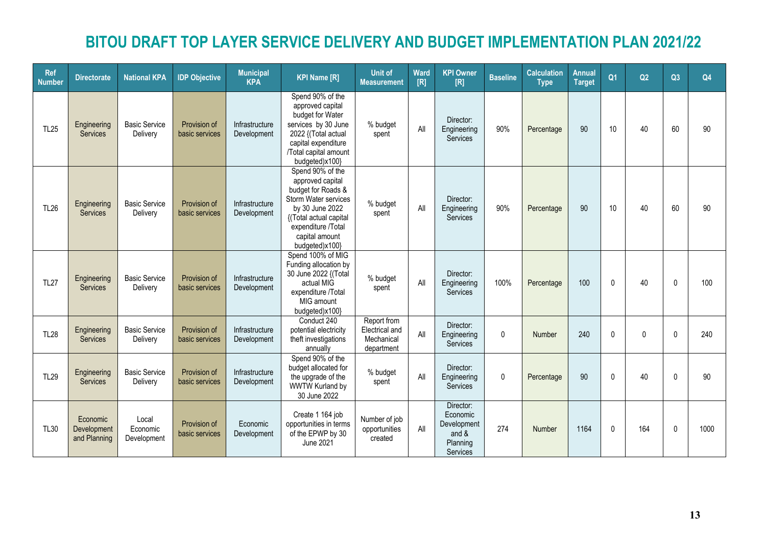| <b>Ref</b><br><b>Number</b> | <b>Directorate</b>                      | <b>National KPA</b>              | <b>IDP Objective</b>           | <b>Municipal</b><br><b>KPA</b> | <b>KPI Name [R]</b>                                                                                                                                                                       | <b>Unit of</b><br><b>Measurement</b>                      | Ward<br>[R] | <b>KPI Owner</b><br>[R]                                                 | <b>Baseline</b> | <b>Calculation</b><br><b>Type</b> | Annual<br><b>Target</b> | Q <sub>1</sub> | Q2           | Q3 | Q4   |
|-----------------------------|-----------------------------------------|----------------------------------|--------------------------------|--------------------------------|-------------------------------------------------------------------------------------------------------------------------------------------------------------------------------------------|-----------------------------------------------------------|-------------|-------------------------------------------------------------------------|-----------------|-----------------------------------|-------------------------|----------------|--------------|----|------|
| <b>TL25</b>                 | Engineering<br><b>Services</b>          | <b>Basic Service</b><br>Delivery | Provision of<br>basic services | Infrastructure<br>Development  | Spend 90% of the<br>approved capital<br>budget for Water<br>services by 30 June<br>2022 {(Total actual<br>capital expenditure<br>/Total capital amount<br>budgeted)x100}                  | % budget<br>spent                                         | All         | Director:<br>Engineering<br><b>Services</b>                             | 90%             | Percentage                        | 90                      | 10             | 40           | 60 | 90   |
| <b>TL26</b>                 | Engineering<br><b>Services</b>          | <b>Basic Service</b><br>Delivery | Provision of<br>basic services | Infrastructure<br>Development  | Spend 90% of the<br>approved capital<br>budget for Roads &<br>Storm Water services<br>by 30 June 2022<br>{(Total actual capital<br>expenditure /Total<br>capital amount<br>budgeted)x100} | % budget<br>spent                                         | All         | Director:<br>Engineering<br>Services                                    | 90%             | Percentage                        | 90                      | 10             | 40           | 60 | 90   |
| <b>TL27</b>                 | Engineering<br><b>Services</b>          | <b>Basic Service</b><br>Delivery | Provision of<br>basic services | Infrastructure<br>Development  | Spend 100% of MIG<br>Funding allocation by<br>30 June 2022 {(Total<br>actual MIG<br>expenditure /Total<br>MIG amount<br>budgeted)x100}                                                    | % budget<br>spent                                         | All         | Director:<br>Engineering<br>Services                                    | 100%            | Percentage                        | 100                     | $\mathbf{0}$   | 40           | 0  | 100  |
| <b>TL28</b>                 | Engineering<br><b>Services</b>          | <b>Basic Service</b><br>Delivery | Provision of<br>basic services | Infrastructure<br>Development  | Conduct 240<br>potential electricity<br>theft investigations<br>annually                                                                                                                  | Report from<br>Electrical and<br>Mechanical<br>department | All         | Director:<br>Engineering<br>Services                                    | $\mathbf{0}$    | Number                            | 240                     | 0              | $\mathbf{0}$ | 0  | 240  |
| <b>TL29</b>                 | Engineering<br><b>Services</b>          | <b>Basic Service</b><br>Delivery | Provision of<br>basic services | Infrastructure<br>Development  | Spend 90% of the<br>budget allocated for<br>the upgrade of the<br><b>WWTW Kurland by</b><br>30 June 2022                                                                                  | % budget<br>spent                                         | All         | Director:<br>Engineering<br>Services                                    | $\mathbf 0$     | Percentage                        | 90                      | $\mathbf 0$    | 40           | 0  | 90   |
| <b>TL30</b>                 | Economic<br>Development<br>and Planning | Local<br>Economic<br>Development | Provision of<br>basic services | Economic<br>Development        | Create 1 164 job<br>opportunities in terms<br>of the EPWP by 30<br><b>June 2021</b>                                                                                                       | Number of job<br>opportunities<br>created                 | All         | Director:<br>Economic<br>Development<br>and $&$<br>Planning<br>Services | 274             | Number                            | 1164                    | $\mathbf{0}$   | 164          | 0  | 1000 |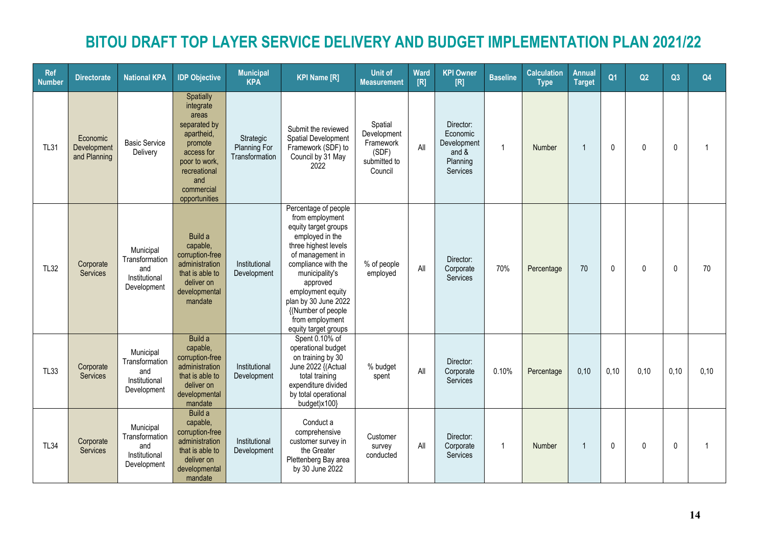| <b>Ref</b><br><b>Number</b> | <b>Directorate</b>                      | <b>National KPA</b>                                                | <b>IDP Objective</b>                                                                                                                                          | <b>Municipal</b><br><b>KPA</b>              | <b>KPI Name [R]</b>                                                                                                                                                                                                                                                                               | <b>Unit of</b><br><b>Measurement</b>                                    | <b>Ward</b><br>[R] | <b>KPI Owner</b><br>[R]                                               | <b>Baseline</b> | <b>Calculation</b><br><b>Type</b> | <b>Annual</b><br><b>Target</b> | Q <sub>1</sub> | Q2           | Q3           | Q4             |
|-----------------------------|-----------------------------------------|--------------------------------------------------------------------|---------------------------------------------------------------------------------------------------------------------------------------------------------------|---------------------------------------------|---------------------------------------------------------------------------------------------------------------------------------------------------------------------------------------------------------------------------------------------------------------------------------------------------|-------------------------------------------------------------------------|--------------------|-----------------------------------------------------------------------|-----------------|-----------------------------------|--------------------------------|----------------|--------------|--------------|----------------|
| <b>TL31</b>                 | Economic<br>Development<br>and Planning | <b>Basic Service</b><br>Delivery                                   | Spatially<br>integrate<br>areas<br>separated by<br>apartheid,<br>promote<br>access for<br>poor to work,<br>recreational<br>and<br>commercial<br>opportunities | Strategic<br>Planning For<br>Transformation | Submit the reviewed<br>Spatial Development<br>Framework (SDF) to<br>Council by 31 May<br>2022                                                                                                                                                                                                     | Spatial<br>Development<br>Framework<br>(SDF)<br>submitted to<br>Council | All                | Director:<br>Economic<br>Development<br>and &<br>Planning<br>Services | $\overline{1}$  | Number                            | $\overline{1}$                 | $\mathbf{0}$   | $\mathbf{0}$ | $\mathbf{0}$ | $\overline{1}$ |
| <b>TL32</b>                 | Corporate<br><b>Services</b>            | Municipal<br>Transformation<br>and<br>Institutional<br>Development | Build a<br>capable,<br>corruption-free<br>administration<br>that is able to<br>deliver on<br>developmental<br>mandate                                         | Institutional<br>Development                | Percentage of people<br>from employment<br>equity target groups<br>employed in the<br>three highest levels<br>of management in<br>compliance with the<br>municipality's<br>approved<br>employment equity<br>plan by 30 June 2022<br>{(Number of people<br>from employment<br>equity target groups | % of people<br>employed                                                 | All                | Director:<br>Corporate<br>Services                                    | 70%             | Percentage                        | 70                             | $\mathbf{0}$   | $\mathbf{0}$ | $\mathbf{0}$ | 70             |
| <b>TL33</b>                 | Corporate<br>Services                   | Municipal<br>Transformation<br>and<br>Institutional<br>Development | Build a<br>capable,<br>corruption-free<br>administration<br>that is able to<br>deliver on<br>developmental<br>mandate                                         | Institutional<br>Development                | Spent 0.10% of<br>operational budget<br>on training by 30<br>June 2022 {(Actual<br>total training<br>expenditure divided<br>by total operational<br>budget)x100}                                                                                                                                  | % budget<br>spent                                                       | All                | Director:<br>Corporate<br>Services                                    | 0.10%           | Percentage                        | 0,10                           | 0,10           | 0,10         | 0,10         | 0,10           |
| <b>TL34</b>                 | Corporate<br><b>Services</b>            | Municipal<br>Transformation<br>and<br>Institutional<br>Development | Build a<br>capable,<br>corruption-free<br>administration<br>that is able to<br>deliver on<br>developmental<br>mandate                                         | Institutional<br>Development                | Conduct a<br>comprehensive<br>customer survey in<br>the Greater<br>Plettenberg Bay area<br>by 30 June 2022                                                                                                                                                                                        | Customer<br>survey<br>conducted                                         | All                | Director:<br>Corporate<br>Services                                    | -1              | Number                            | $\overline{1}$                 | $\mathbf{0}$   | $\mathbf{0}$ | $\mathbf{0}$ |                |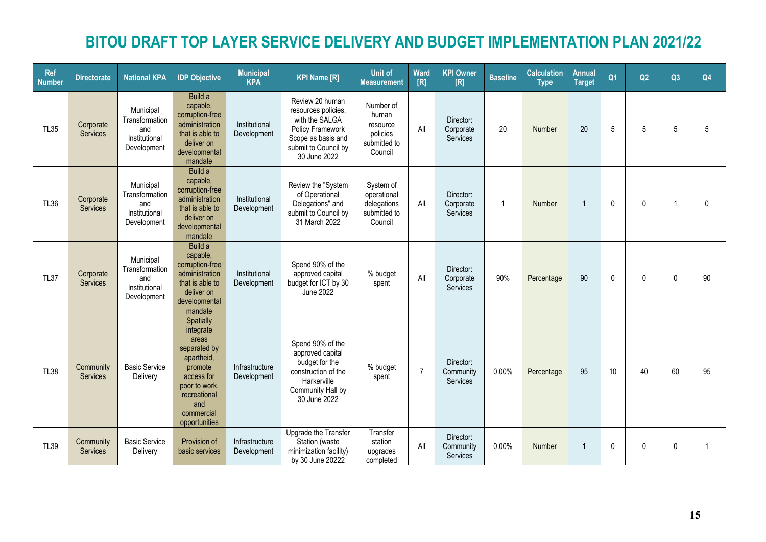| <b>Ref</b><br><b>Number</b> | <b>Directorate</b>           | <b>National KPA</b>                                                | <b>IDP Objective</b>                                                                                                                                          | <b>Municipal</b><br><b>KPA</b> | <b>KPI Name [R]</b>                                                                                                                        | <b>Unit of</b><br><b>Measurement</b>                                  | Ward<br>[R]    | <b>KPI Owner</b><br>[R]            | <b>Baseline</b> | <b>Calculation</b><br><b>Type</b> | Annual<br><b>Target</b> | Q <sub>1</sub> | Q2           | Q3              | Q4             |
|-----------------------------|------------------------------|--------------------------------------------------------------------|---------------------------------------------------------------------------------------------------------------------------------------------------------------|--------------------------------|--------------------------------------------------------------------------------------------------------------------------------------------|-----------------------------------------------------------------------|----------------|------------------------------------|-----------------|-----------------------------------|-------------------------|----------------|--------------|-----------------|----------------|
| <b>TL35</b>                 | Corporate<br><b>Services</b> | Municipal<br>Transformation<br>and<br>Institutional<br>Development | Build a<br>capable,<br>corruption-free<br>administration<br>that is able to<br>deliver on<br>developmental<br>mandate                                         | Institutional<br>Development   | Review 20 human<br>resources policies,<br>with the SALGA<br>Policy Framework<br>Scope as basis and<br>submit to Council by<br>30 June 2022 | Number of<br>human<br>resource<br>policies<br>submitted to<br>Council | All            | Director:<br>Corporate<br>Services | 20              | Number                            | 20                      | 5              | 5            | $5\phantom{.0}$ | 5              |
| <b>TL36</b>                 | Corporate<br>Services        | Municipal<br>Transformation<br>and<br>Institutional<br>Development | Build a<br>capable,<br>corruption-free<br>administration<br>that is able to<br>deliver on<br>developmental<br>mandate                                         | Institutional<br>Development   | Review the "System<br>of Operational<br>Delegations" and<br>submit to Council by<br>31 March 2022                                          | System of<br>operational<br>delegations<br>submitted to<br>Council    | All            | Director:<br>Corporate<br>Services | $\overline{1}$  | Number                            | $\mathbf{1}$            | $\mathbf{0}$   | $\mathbf{0}$ | $\overline{1}$  | $\mathbf{0}$   |
| <b>TL37</b>                 | Corporate<br><b>Services</b> | Municipal<br>Transformation<br>and<br>Institutional<br>Development | Build a<br>capable,<br>corruption-free<br>administration<br>that is able to<br>deliver on<br>developmental<br>mandate                                         | Institutional<br>Development   | Spend 90% of the<br>approved capital<br>budget for ICT by 30<br>June 2022                                                                  | % budget<br>spent                                                     | All            | Director:<br>Corporate<br>Services | 90%             | Percentage                        | 90                      | $\mathbf{0}$   | $\mathbf{0}$ | 0               | 90             |
| <b>TL38</b>                 | Community<br><b>Services</b> | <b>Basic Service</b><br>Delivery                                   | Spatially<br>integrate<br>areas<br>separated by<br>apartheid,<br>promote<br>access for<br>poor to work,<br>recreational<br>and<br>commercial<br>opportunities | Infrastructure<br>Development  | Spend 90% of the<br>approved capital<br>budget for the<br>construction of the<br>Harkerville<br>Community Hall by<br>30 June 2022          | % budget<br>spent                                                     | $\overline{7}$ | Director:<br>Community<br>Services | 0.00%           | Percentage                        | 95                      | 10             | 40           | 60              | 95             |
| <b>TL39</b>                 | Community<br><b>Services</b> | <b>Basic Service</b><br>Delivery                                   | Provision of<br>basic services                                                                                                                                | Infrastructure<br>Development  | Upgrade the Transfer<br>Station (waste<br>minimization facility)<br>by 30 June 20222                                                       | Transfer<br>station<br>upgrades<br>completed                          | All            | Director:<br>Community<br>Services | 0.00%           | Number                            | 1                       | $\mathbf{0}$   | $\Omega$     | 0               | $\overline{1}$ |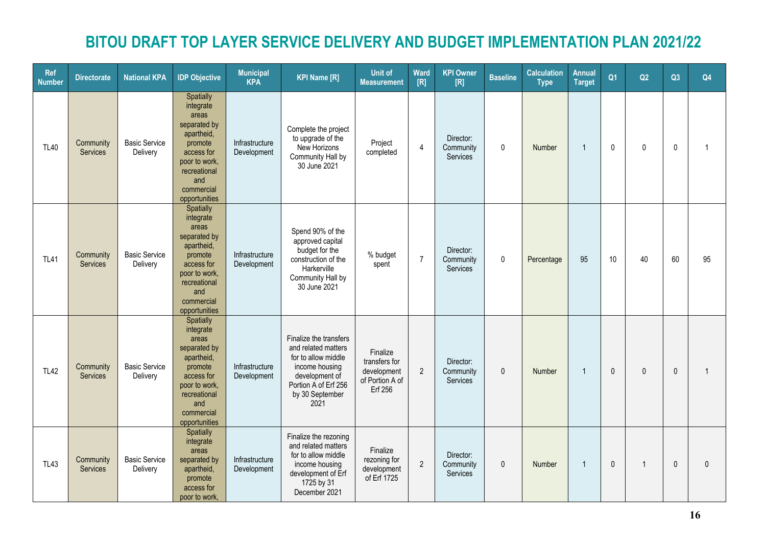| <b>Ref</b><br><b>Number</b> | <b>Directorate</b>    | <b>National KPA</b>              | <b>IDP Objective</b>                                                                                                                                          | <b>Municipal</b><br><b>KPA</b> | <b>KPI Name [R]</b>                                                                                                                                         | Unit of<br><b>Measurement</b>                                          | Ward<br>[R]    | <b>KPI Owner</b><br>[R]                   | <b>Baseline</b> | <b>Calculation</b><br><b>Type</b> | Annual<br><b>Target</b> | Q <sub>1</sub> | Q2           | Q3           | Q4             |
|-----------------------------|-----------------------|----------------------------------|---------------------------------------------------------------------------------------------------------------------------------------------------------------|--------------------------------|-------------------------------------------------------------------------------------------------------------------------------------------------------------|------------------------------------------------------------------------|----------------|-------------------------------------------|-----------------|-----------------------------------|-------------------------|----------------|--------------|--------------|----------------|
| <b>TL40</b>                 | Community<br>Services | <b>Basic Service</b><br>Delivery | Spatially<br>integrate<br>areas<br>separated by<br>apartheid,<br>promote<br>access for<br>poor to work,<br>recreational<br>and<br>commercial<br>opportunities | Infrastructure<br>Development  | Complete the project<br>to upgrade of the<br>New Horizons<br>Community Hall by<br>30 June 2021                                                              | Project<br>completed                                                   | $\overline{4}$ | Director:<br>Community<br><b>Services</b> | $\mathbf{0}$    | Number                            | $\overline{1}$          | $\mathbf{0}$   | $\mathbf{0}$ | $\mathbf{0}$ | -1             |
| <b>TL41</b>                 | Community<br>Services | <b>Basic Service</b><br>Delivery | Spatially<br>integrate<br>areas<br>separated by<br>apartheid,<br>promote<br>access for<br>poor to work,<br>recreational<br>and<br>commercial<br>opportunities | Infrastructure<br>Development  | Spend 90% of the<br>approved capital<br>budget for the<br>construction of the<br>Harkerville<br>Community Hall by<br>30 June 2021                           | % budget<br>spent                                                      | $\overline{7}$ | Director:<br>Community<br>Services        | $\mathbf 0$     | Percentage                        | 95                      | 10             | 40           | 60           | 95             |
| <b>TL42</b>                 | Community<br>Services | <b>Basic Service</b><br>Delivery | Spatially<br>integrate<br>areas<br>separated by<br>apartheid,<br>promote<br>access for<br>poor to work,<br>recreational<br>and<br>commercial<br>opportunities | Infrastructure<br>Development  | Finalize the transfers<br>and related matters<br>for to allow middle<br>income housing<br>development of<br>Portion A of Erf 256<br>by 30 September<br>2021 | Finalize<br>transfers for<br>development<br>of Portion A of<br>Erf 256 | 2              | Director:<br>Community<br>Services        | $\mathbf{0}$    | Number                            | $\overline{1}$          | $\mathbf{0}$   | $\Omega$     | $\mathbf{0}$ | $\overline{1}$ |
| <b>TL43</b>                 | Community<br>Services | <b>Basic Service</b><br>Delivery | Spatially<br>integrate<br>areas<br>separated by<br>apartheid,<br>promote<br>access for<br>poor to work,                                                       | Infrastructure<br>Development  | Finalize the rezoning<br>and related matters<br>for to allow middle<br>income housing<br>development of Erf<br>1725 by 31<br>December 2021                  | Finalize<br>rezoning for<br>development<br>of Erf 1725                 | $\overline{2}$ | Director:<br>Community<br>Services        | $\mathbf{0}$    | Number                            | $\overline{1}$          | $\mathbf{0}$   | $\mathbf 1$  | $\mathbf{0}$ | $\mathbf{0}$   |